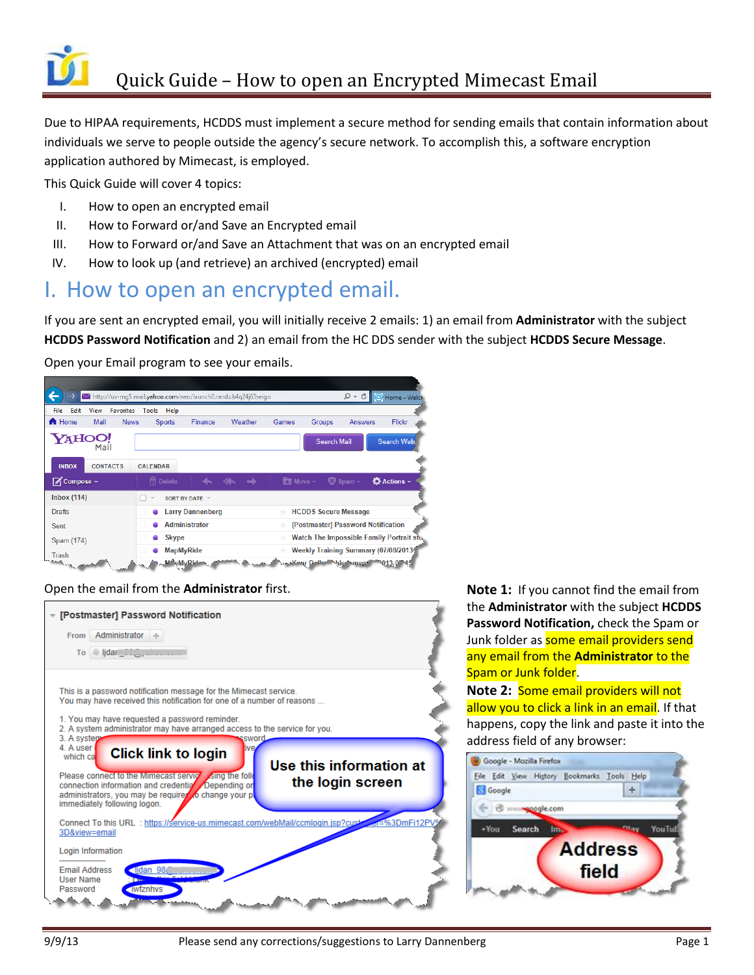

Due to HIPAA requirements, HCDDS must implement a secure method for sending emails that contain information about individuals we serve to people outside the agency's secure network. To accomplish this, a software encryption application authored by Mimecast, is employed.

This Quick Guide will cover 4 topics:

- I. How to open an encrypted email
- II. How to Forward or/and Save an Encrypted email
- III. How to Forward or/and Save an Attachment that was on an encrypted email
- IV. How to look up (and retrieve) an archived (encrypted) email

#### I. How to open an encrypted email.

If you are sent an encrypted email, you will initially receive 2 emails: 1) an email from **Administrator** with the subject **HCDDS Password Notification** and 2) an email from the HC DDS sender with the subject **HCDDS Secure Message**.

Open your Email program to see your emails.



Open the email from the **Administrator** first. **Note 1:** If you cannot find the email from



the **Administrator** with the subject **HCDDS Password Notification,** check the Spam or Junk folder as **some email providers send** any email from the **Administrator** to the Spam or Junk folder.

**Note 2:** Some email providers will not allow you to click a link in an email. If that happens, copy the link and paste it into the address field of any browser:

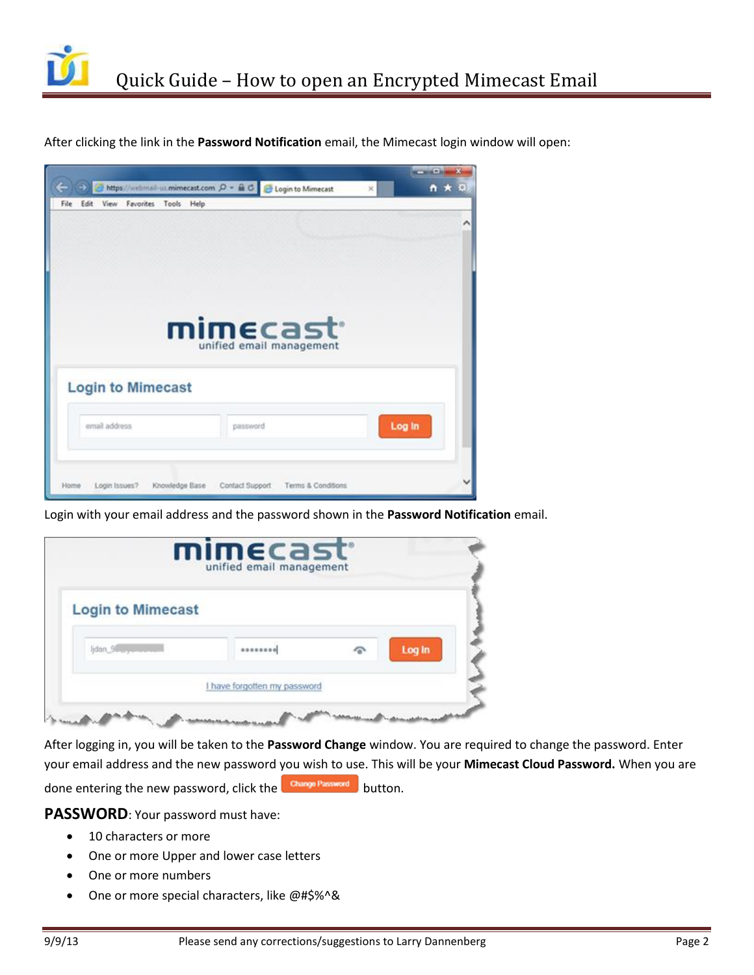

After clicking the link in the **Password Notification** email, the Mimecast login window will open:



Login with your email address and the password shown in the **Password Notification** email.

| <b>Login to Mimecast</b> |  |        |
|--------------------------|--|--------|
| lidan 96 cyclis          |  | Log In |

After logging in, you will be taken to the **Password Change** window. You are required to change the password. Enter your email address and the new password you wish to use. This will be your **Mimecast Cloud Password.** When you are done entering the new password, click the **Change Password** button.

**PASSWORD**: Your password must have:

- 10 characters or more
- One or more Upper and lower case letters
- One or more numbers
- One or more special characters, like @#\$%^&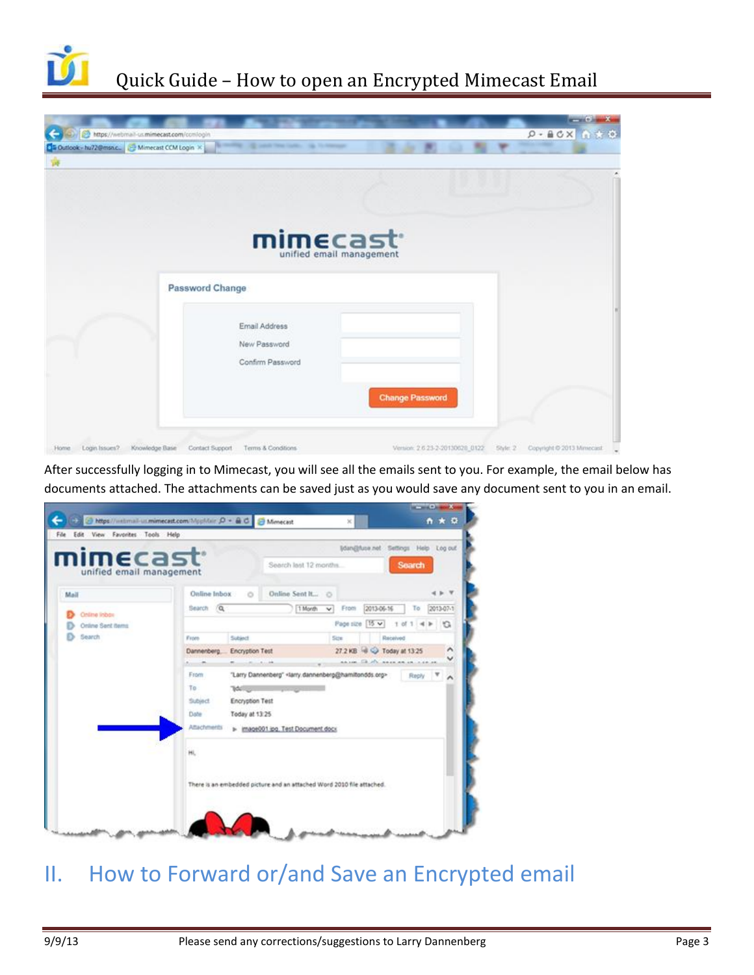

## Quick Guide – How to open an Encrypted Mimecast Email

|                                          |                                                |                                 | <b>Contract Contract Avenue</b>   |
|------------------------------------------|------------------------------------------------|---------------------------------|-----------------------------------|
| https://webmail-us.mimecast.com/conlogin |                                                |                                 | $9 - BC \times 0$ + 0             |
|                                          | Da Outlook - hu72@msnc. B Mimecast COM Login X |                                 |                                   |
|                                          |                                                |                                 |                                   |
|                                          |                                                |                                 |                                   |
|                                          |                                                |                                 |                                   |
|                                          |                                                |                                 |                                   |
|                                          | mimecast <sup>.</sup>                          |                                 |                                   |
|                                          | unified email management                       |                                 |                                   |
|                                          |                                                |                                 |                                   |
|                                          | Password Change                                |                                 |                                   |
|                                          |                                                |                                 |                                   |
|                                          | Email Address                                  |                                 |                                   |
|                                          | New Password                                   |                                 |                                   |
|                                          | Confirm Password                               |                                 |                                   |
|                                          |                                                |                                 |                                   |
|                                          |                                                |                                 |                                   |
|                                          |                                                | <b>Change Password</b>          |                                   |
|                                          |                                                |                                 |                                   |
|                                          |                                                |                                 |                                   |
| Login Issues? Knowledge Base<br>Home     | Contact Support<br>Terms & Conditions          | Version: 2.6.23-2-20130628_0122 | 5tyle: 2 Copyright @ 2013 Mmecast |

After successfully logging in to Mimecast, you will see all the emails sent to you. For example, the email below has documents attached. The attachments can be saved just as you would save any document sent to you in an email.

| imecast                  | Idan@fuse.net Settings Help Log out                                                                |
|--------------------------|----------------------------------------------------------------------------------------------------|
| unified email management | <b>Search</b><br>Search last 12 months                                                             |
| Mail                     | Online Inbox<br>Online Sent It O<br>$\circ$                                                        |
| Online Inbox             | Search (Q)<br>From<br>2013-07-1<br>2013-06-16<br>To<br>1 Month<br>×.                               |
| Online Sent Berns        | Page size [15 w]<br>$1$ of $1$ = $\blacktriangleright$ $\Box$                                      |
| Search                   | Subject<br>Received<br>Size<br>From                                                                |
|                          | 27.2 KB 3 C Today at 13:25<br>Encryption Test<br>Dannenberg                                        |
|                          | <b>AA 100 FB AT ABAN AR AR A 40 AM</b><br>ALC: NO AN                                               |
|                          | "Larry Dannenberg" <larry dannenberg@hamiltondds.org=""><br/>From<br/>Reply <b>V</b><br/>^</larry> |
|                          | To:<br>76.51                                                                                       |
|                          | Encryption Test<br>Subject                                                                         |
|                          | Date<br>Today at 13:25                                                                             |
|                          | Attachments<br>> image001 ipg. Test Document docx                                                  |
|                          | HL                                                                                                 |
|                          | There is an embedded picture and an attached Word 2010 file attached.                              |

## II. How to Forward or/and Save an Encrypted email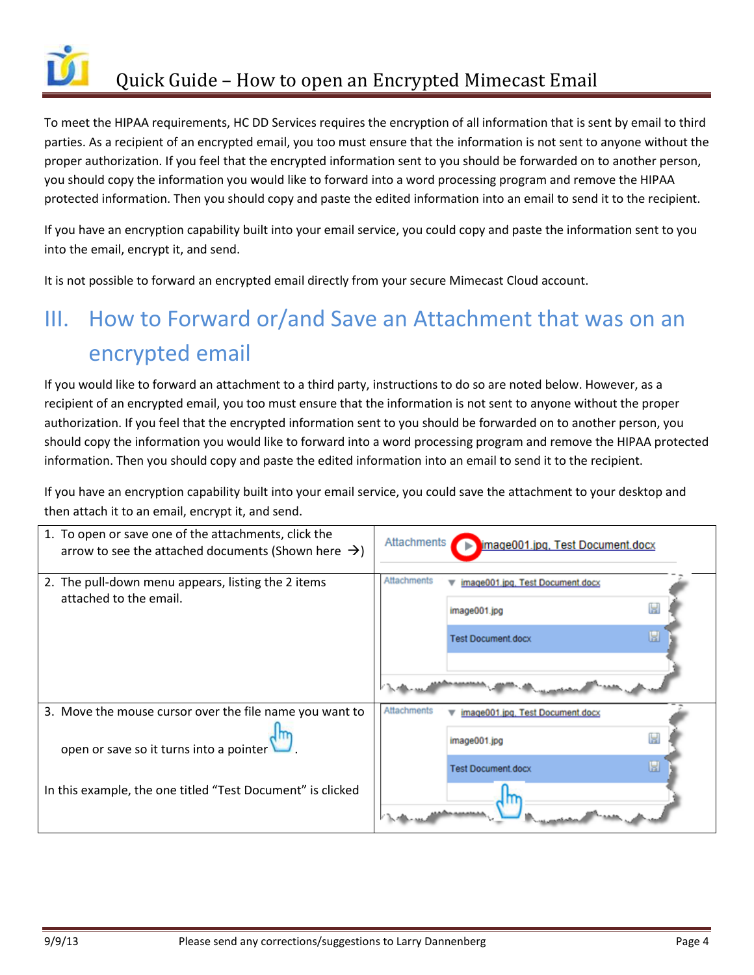

To meet the HIPAA requirements, HC DD Services requires the encryption of all information that is sent by email to third parties. As a recipient of an encrypted email, you too must ensure that the information is not sent to anyone without the proper authorization. If you feel that the encrypted information sent to you should be forwarded on to another person, you should copy the information you would like to forward into a word processing program and remove the HIPAA protected information. Then you should copy and paste the edited information into an email to send it to the recipient.

If you have an encryption capability built into your email service, you could copy and paste the information sent to you into the email, encrypt it, and send.

It is not possible to forward an encrypted email directly from your secure Mimecast Cloud account.

# III. How to Forward or/and Save an Attachment that was on an encrypted email

If you would like to forward an attachment to a third party, instructions to do so are noted below. However, as a recipient of an encrypted email, you too must ensure that the information is not sent to anyone without the proper authorization. If you feel that the encrypted information sent to you should be forwarded on to another person, you should copy the information you would like to forward into a word processing program and remove the HIPAA protected information. Then you should copy and paste the edited information into an email to send it to the recipient.

If you have an encryption capability built into your email service, you could save the attachment to your desktop and then attach it to an email, encrypt it, and send.

| 1. To open or save one of the attachments, click the<br>arrow to see the attached documents (Shown here $\rightarrow$ ) | Attachments<br>ь          | image001.jpg, Test Document.docx |
|-------------------------------------------------------------------------------------------------------------------------|---------------------------|----------------------------------|
| 2. The pull-down menu appears, listing the 2 items                                                                      | <b>Attachments</b>        | image001.jpg, Test Document.docx |
| attached to the email.                                                                                                  | image001.jpg              |                                  |
|                                                                                                                         | <b>Test Document.docx</b> | ы                                |
|                                                                                                                         |                           |                                  |
| 3. Move the mouse cursor over the file name you want to                                                                 | <b>Attachments</b>        | image001.jpg, Test Document.docx |
| open or save so it turns into a pointer                                                                                 | image001.jpg              |                                  |
|                                                                                                                         | <b>Test Document.docx</b> |                                  |
| In this example, the one titled "Test Document" is clicked                                                              |                           |                                  |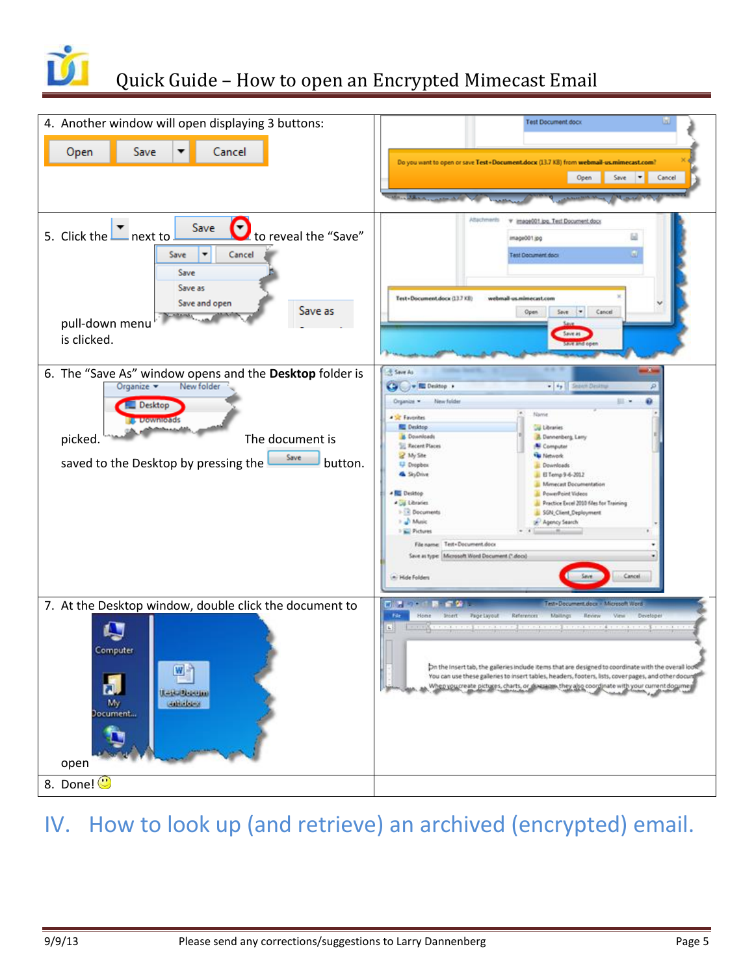

### Quick Guide – How to open an Encrypted Mimecast Email



## IV. How to look up (and retrieve) an archived (encrypted) email.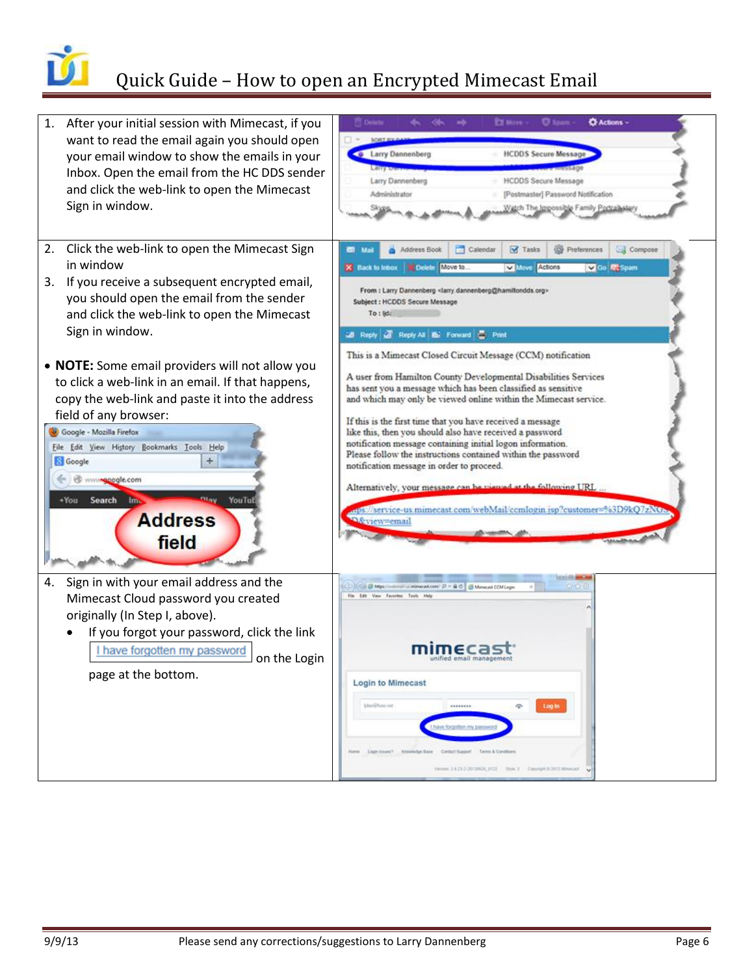

### Quick Guide – How to open an Encrypted Mimecast Email

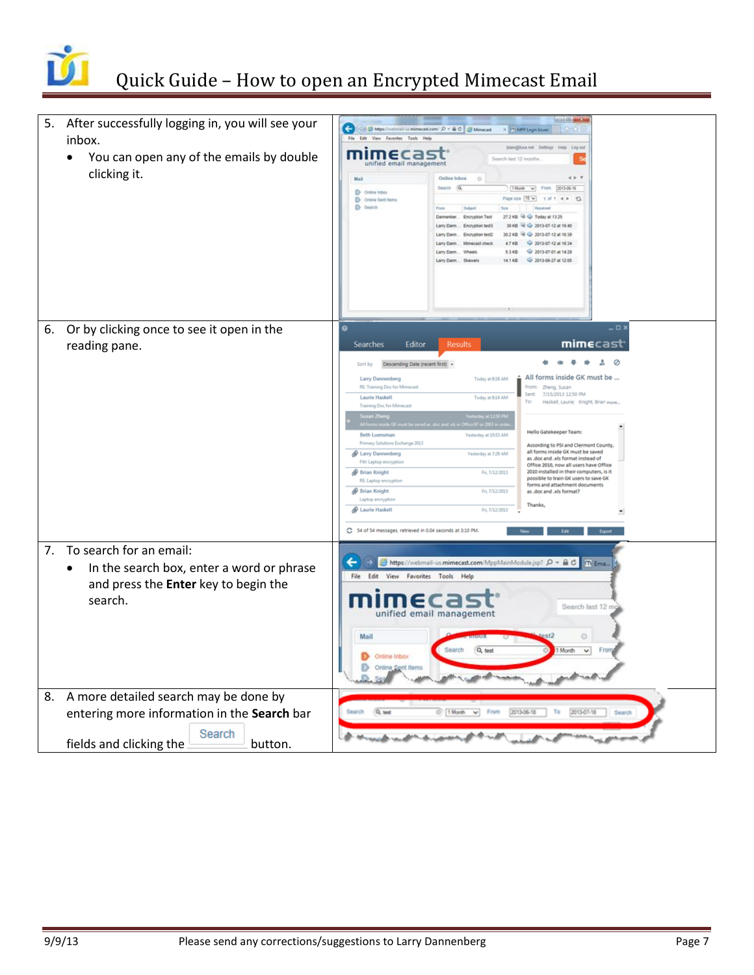

|    | 5. After successfully logging in, you will see your<br>inbox.<br>You can open any of the emails by double<br>$\bullet$<br>clicking it. | GI<br>Sheps//whitel-uniment.com/ P + B O S Mentalt<br>X TiMP Login haves<br><b>OD</b><br>File Edit View Favorities Tools Help<br>Edan@fuse.net Settings Help Log out<br>mimecas<br>Search last 12 month<br>unified email management<br>Online Inbox<br>Mall<br>Search (Q)<br>T. Month w From 2013-06-16<br>D Online Indus<br>Page now 115 w<br>1.01.4 0.13<br>D Online Sent forms<br>D Search<br>Today at 13:25<br>2013-07-12 at 16:40<br>2013-07-12 at 16:30<br>10.2 KB<br>2013-07-12 at 16:34<br>4.7 KB<br>2013-07-01 at 14:20<br>5.3 KB<br>2013-06-27 at 12:05<br>14.1 KB<br>Skewers                                                                                                                                                                                                                                                                                                                                                                                                                                                                                                                                                                                                               |
|----|----------------------------------------------------------------------------------------------------------------------------------------|-------------------------------------------------------------------------------------------------------------------------------------------------------------------------------------------------------------------------------------------------------------------------------------------------------------------------------------------------------------------------------------------------------------------------------------------------------------------------------------------------------------------------------------------------------------------------------------------------------------------------------------------------------------------------------------------------------------------------------------------------------------------------------------------------------------------------------------------------------------------------------------------------------------------------------------------------------------------------------------------------------------------------------------------------------------------------------------------------------------------------------------------------------------------------------------------------------|
|    | 6. Or by clicking once to see it open in the<br>reading pane.                                                                          | - <b>D</b><br>mimecast<br>Searches<br>Editor<br>Results<br><br>$\mathbf{r}$<br>Ø<br>۰<br>Descending Date (recent first) +<br>Sort by<br>All forms inside GK must be<br>Today at 8:18 AM<br>Larry Dannenberg<br>RE: Training Doc for Mimecast<br>From: Zheng, Susan<br>7/15/2013 12:50 PM<br>Sent<br><b>Laurie Haskell</b><br>Today at 8:14 AM<br>Haskell, Laurie; Knight, Brian more<br>To:<br><b>Training Doc for Mimecast</b><br><b>Hello Gatekeeper Team:</b><br><b>Beth Luensman</b><br>Vesterday at 10:53 AM<br>Primary Solutions Exchange 2013<br>According to PSI and Clermont County,<br>all forms inside GK must be saved<br>Larry Dannenberg<br>Vesterday at 7:29 AM<br>as .doc and .xls format instead of<br>FW: Laptop encryptio<br>Office 2010, now all users have Office<br>2010 installed in their computers, is it<br><sup>®</sup> Brian Knight<br>Fri, 7/12/2013<br>possible to train GK users to save GK<br>RE: Laptop encryption<br>forms and attachment documents<br><b>Brian Knight</b><br>Fri, 7/12/2013<br>as .doc and .xls format?<br>Laptop encryption<br>Thanks.<br><b>D</b> Laurie Haskell<br>Fri, 7/12/2013<br>C 54 of 54 messages, retrieved in 0.04 seconds at 3:10 PM. |
| 7. | To search for an email:<br>In the search box, enter a word or phrase<br>$\bullet$<br>and press the Enter key to begin the<br>search.   | ←<br>$\rightarrow$<br>https://webmail-us.mimecast.com/MppMainModule.jsp? P = A C<br>m Ema.<br>File Edit View Favorites Tools Help<br>Search last 12 n<br>unified email management<br>Mail<br>Q test<br><b>Search</b><br>Month<br>Online Inbox<br>Ð<br>Online Sent Items<br>n                                                                                                                                                                                                                                                                                                                                                                                                                                                                                                                                                                                                                                                                                                                                                                                                                                                                                                                          |
| 8. | A more detailed search may be done by<br>entering more information in the Search bar<br>Search<br>fields and clicking the<br>button.   | Q test<br>1 Morth v From<br>2013-06-18<br>2013-07-18<br>Search<br>To<br>Search                                                                                                                                                                                                                                                                                                                                                                                                                                                                                                                                                                                                                                                                                                                                                                                                                                                                                                                                                                                                                                                                                                                        |